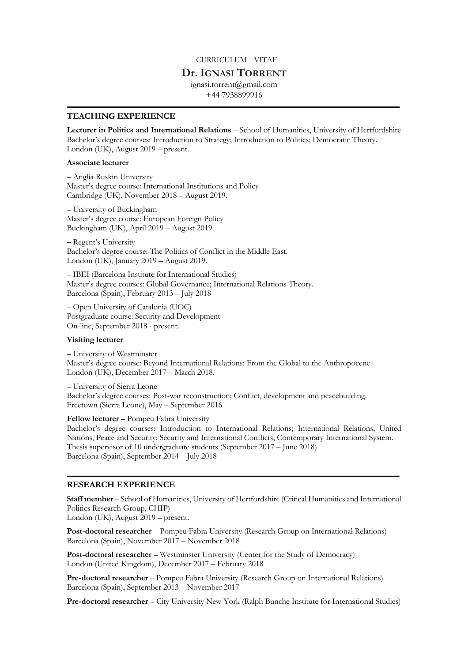# CURRICULUM VITAE

# **Dr.IGNASI TORRENT**

ignasi.torrent@gmail.com +44 7938899916

## **TEACHING EXPERIENCE**

**Lecturer in Politics and International Relations** – School of Humanities, University of Hertfordshire Bachelor's degree courses: Introduction to Strategy; Introduction to Politics; Democratic Theory. London (UK), August 2019 – present.

### **Associate lecturer**

– Anglia Ruskin University Master's degree course: International Institutions and Policy Cambridge (UK), November 2018 – August 2019.

– University of Buckingham Master's degree course: European Foreign Policy Buckingham (UK), April 2019 – August 2019.

**–** Regent's University Bachelor's degree course: The Politics of Conflict in the Middle East. London (UK), January 2019 – August 2019.

– IBEI (Barcelona Institute for International Studies) Master's degree courses: Global Governance; International Relations Theory. Barcelona (Spain), February 2013 – July 2018

– Open University of Catalonia (UOC) Postgraduate course: Security and Development On-line, September 2018 - present.

## **Visiting lecturer**

– University of Westminster Master's degree course: Beyond International Relations: From the Global to the Anthropocene London (UK), December 2017 – March 2018.

– University of Sierra Leone Bachelor's degree courses: Post-war reconstruction; Conflict, development and peacebuilding. Freetown (Sierra Leone), May – September 2016

**Fellow lecturer** – Pompeu Fabra University

Bachelor's degree courses: Introduction to International Relations; International Relations; United Nations, Peace and Security; Security and International Conflicts; Contemporary International System. Thesis supervisor of 10 undergraduate students (September 2017 – June 2018) Barcelona (Spain), September 2014 – July 2018

### **RESEARCH EXPERIENCE**

**Staff member** – School of Humanities, University of Hertfordshire (Critical Humanities and International Politics Research Group, CHIP)

London (UK), August 2019 – present.

**Post-doctoral researcher** – Pompeu Fabra University (Research Group on International Relations) Barcelona (Spain), November 2017 – November 2018

**Post-doctoral researcher** – Westminster University (Center for the Study of Democracy) London (United Kingdom), December 2017 – February 2018

**Pre-doctoral researcher** – Pompeu Fabra University (Research Group on International Relations) Barcelona (Spain), September 2013 – November 2017

**Pre-doctoral researcher** – City University New York (Ralph Bunche Institute for International Studies)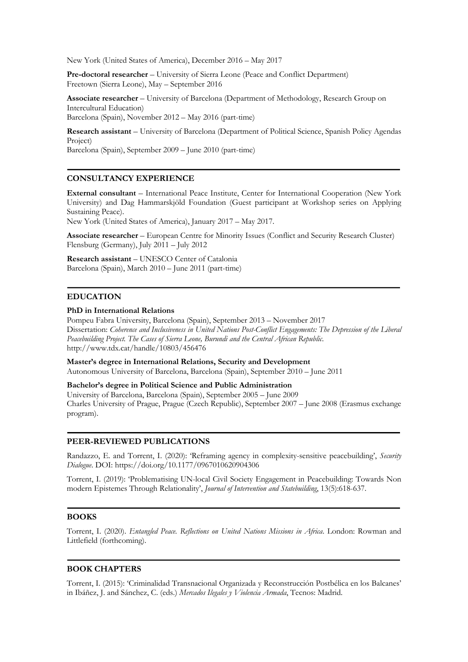New York (United States of America), December 2016 – May 2017

**Pre-doctoral researcher** – University of Sierra Leone (Peace and Conflict Department) Freetown (Sierra Leone), May – September 2016

**Associate researcher** – University of Barcelona (Department of Methodology, Research Group on Intercultural Education) Barcelona (Spain), November 2012 – May 2016 (part-time)

**Research assistant** – University of Barcelona (Department of Political Science, Spanish Policy Agendas Project)

Barcelona (Spain), September 2009 – June 2010 (part-time)

## **CONSULTANCY EXPERIENCE**

**External consultant** – International Peace Institute, Center for International Cooperation (New York University) and Dag Hammarskjöld Foundation (Guest participant at Workshop series on Applying Sustaining Peace).

New York (United States of America), January 2017 – May 2017.

**Associate researcher** – European Centre for Minority Issues (Conflict and Security Research Cluster) Flensburg (Germany), July 2011 – July 2012

**Research assistant** – UNESCO Center of Catalonia Barcelona (Spain), March 2010 – June 2011 (part-time)

## **EDUCATION**

#### **PhD in International Relations**

Pompeu Fabra University, Barcelona (Spain), September 2013 – November 2017 Dissertation: *Coherence and Inclusiveness in United Nations Post-Conflict Engagements: The Depression of the Liberal Peacebuilding Project. The Cases of Sierra Leone, Burundi and the Central African Republic*. http://www.tdx.cat/handle/10803/456476

**Master's degree in International Relations, Security and Development** Autonomous University of Barcelona, Barcelona (Spain), September 2010 – June 2011

**Bachelor's degree in Political Science and Public Administration** University of Barcelona, Barcelona (Spain), September 2005 – June 2009 Charles University of Prague, Prague (Czech Republic), September 2007 – June 2008 (Erasmus exchange program).

## **PEER-REVIEWED PUBLICATIONS**

Randazzo, E. and Torrent, I. (2020): 'Reframing agency in complexity-sensitive peacebuilding', *Security Dialogue*. DOI: https://doi.org/10.1177/0967010620904306

Torrent, I. (2019): 'Problematising UN-local Civil Society Engagement in Peacebuilding: Towards Non modern Epistemes Through Relationality', *Journal of Intervention and Statebuilding*, 13(5):618-637.

### **BOOKS**

Torrent, I. (2020). *Entangled Peace. Reflections on United Nations Missions in Africa*. London: Rowman and Littlefield (forthcoming).

### **BOOK CHAPTERS**

Torrent, I. (2015): 'Criminalidad Transnacional Organizada y Reconstrucción Postbélica en los Balcanes' in Ibáñez, J. and Sánchez, C. (eds.) *Mercados Ilegales y Violencia Armada*, Tecnos: Madrid.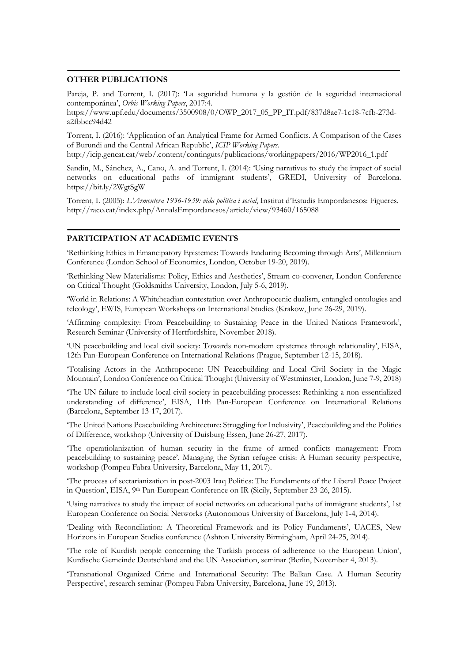## **OTHER PUBLICATIONS**

Pareja, P. and Torrent, I. (2017): 'La seguridad humana y la gestión de la seguridad internacional contemporánea', *Orbis Working Papers*, 2017:4.

https://www.upf.edu/documents/3500908/0/OWP\_2017\_05\_PP\_IT.pdf/837d8ae7-1c18-7cfb-273da2fbbcc94d42

Torrent, I. (2016): 'Application of an Analytical Frame for Armed Conflicts. A Comparison of the Cases of Burundi and the Central African Republic', *ICIP Working Papers*.

http://icip.gencat.cat/web/.content/continguts/publicacions/workingpapers/2016/WP2016\_1.pdf

Sandin, M., Sánchez, A., Cano, A. and Torrent, I. (2014): 'Using narratives to study the impact of social networks on educational paths of immigrant students', GREDI, University of Barcelona. https://bit.ly/2WgtSgW

Torrent, I. (2005): *L'Armentera 1936-1939: vida política i social*, Institut d'Estudis Empordanesos: Figueres. http://raco.cat/index.php/AnnalsEmpordanesos/article/view/93460/165088

### **PARTICIPATION AT ACADEMIC EVENTS**

'Rethinking Ethics in Emancipatory Epistemes: Towards Enduring Becoming through Arts', Millennium Conference (London School of Economics, London, October 19-20, 2019).

'Rethinking New Materialisms: Policy, Ethics and Aesthetics', Stream co-convener, London Conference on Critical Thought (Goldsmiths University, London, July 5-6, 2019).

'World in Relations: A Whiteheadian contestation over Anthropocenic dualism, entangled ontologies and teleology', EWIS, European Workshops on International Studies (Krakow, June 26-29, 2019).

'Affirming complexity: From Peacebuilding to Sustaining Peace in the United Nations Framework', Research Seminar (University of Hertfordshire, November 2018).

'UN peacebuilding and local civil society: Towards non-modern epistemes through relationality', EISA, 12th Pan-European Conference on International Relations (Prague, September 12-15, 2018).

'Totalising Actors in the Anthropocene: UN Peacebuilding and Local Civil Society in the Magic Mountain', London Conference on Critical Thought (University of Westminster, London, June 7-9, 2018)

'The UN failure to include local civil society in peacebuilding processes: Rethinking a non-essentialized understanding of difference', EISA, 11th Pan-European Conference on International Relations (Barcelona, September 13-17, 2017).

'The United Nations Peacebuilding Architecture: Struggling for Inclusivity', Peacebuilding and the Politics of Difference, workshop (University of Duisburg Essen, June 26-27, 2017).

'The operatiolanization of human security in the frame of armed conflicts management: From peacebuilding to sustaining peace', Managing the Syrian refugee crisis: A Human security perspective, workshop (Pompeu Fabra University, Barcelona, May 11, 2017).

'The process of sectarianization in post-2003 Iraq Politics: The Fundaments of the Liberal Peace Project in Question', EISA, 9th Pan-European Conference on IR (Sicily, September 23-26, 2015).

'Using narratives to study the impact of social networks on educational paths of immigrant students', 1st European Conference on Social Networks (Autonomous University of Barcelona, July 1-4, 2014).

'Dealing with Reconciliation: A Theoretical Framework and its Policy Fundaments', UACES, New Horizons in European Studies conference (Ashton University Birmingham, April 24-25, 2014).

'The role of Kurdish people concerning the Turkish process of adherence to the European Union', Kurdische Gemeinde Deutschland and the UN Association, seminar (Berlin, November 4, 2013).

'Transnational Organized Crime and International Security: The Balkan Case. A Human Security Perspective', research seminar (Pompeu Fabra University, Barcelona, June 19, 2013).